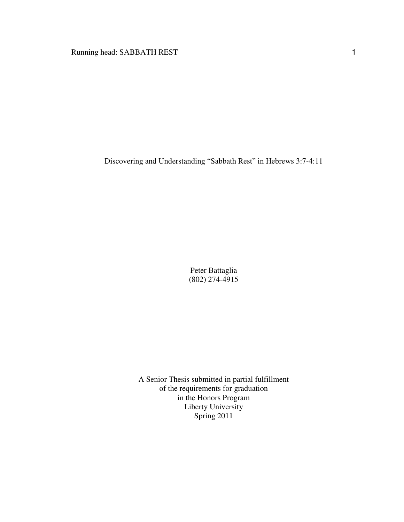Running head: SABBATH REST 1

Discovering and Understanding "Sabbath Rest" in Hebrews 3:7-4:11

Peter Battaglia (802) 274-4915

A Senior Thesis submitted in partial fulfillment of the requirements for graduation in the Honors Program Liberty University Spring 2011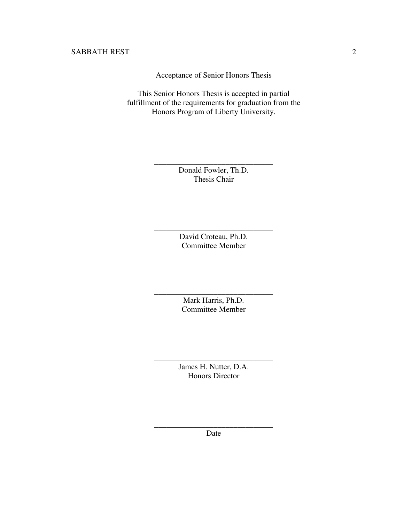Acceptance of Senior Honors Thesis

This Senior Honors Thesis is accepted in partial fulfillment of the requirements for graduation from the Honors Program of Liberty University.

> Donald Fowler, Th.D. Thesis Chair

\_\_\_\_\_\_\_\_\_\_\_\_\_\_\_\_\_\_\_\_\_\_\_\_\_\_\_\_\_\_

David Croteau, Ph.D. Committee Member

\_\_\_\_\_\_\_\_\_\_\_\_\_\_\_\_\_\_\_\_\_\_\_\_\_\_\_\_\_\_

Mark Harris, Ph.D. Committee Member

\_\_\_\_\_\_\_\_\_\_\_\_\_\_\_\_\_\_\_\_\_\_\_\_\_\_\_\_\_\_

James H. Nutter, D.A. Honors Director

\_\_\_\_\_\_\_\_\_\_\_\_\_\_\_\_\_\_\_\_\_\_\_\_\_\_\_\_\_\_

\_\_\_\_\_\_\_\_\_\_\_\_\_\_\_\_\_\_\_\_\_\_\_\_\_\_\_\_\_\_ Date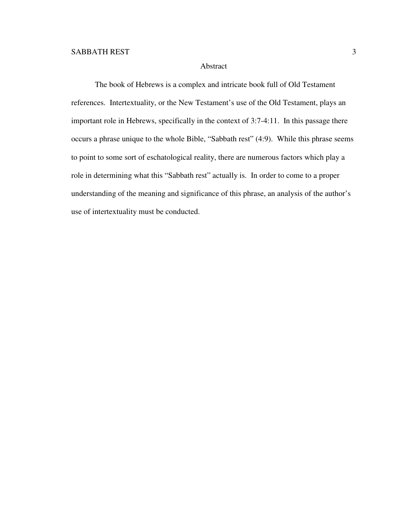## Abstract

 The book of Hebrews is a complex and intricate book full of Old Testament references. Intertextuality, or the New Testament's use of the Old Testament, plays an important role in Hebrews, specifically in the context of 3:7-4:11. In this passage there occurs a phrase unique to the whole Bible, "Sabbath rest" (4:9). While this phrase seems to point to some sort of eschatological reality, there are numerous factors which play a role in determining what this "Sabbath rest" actually is. In order to come to a proper understanding of the meaning and significance of this phrase, an analysis of the author's use of intertextuality must be conducted.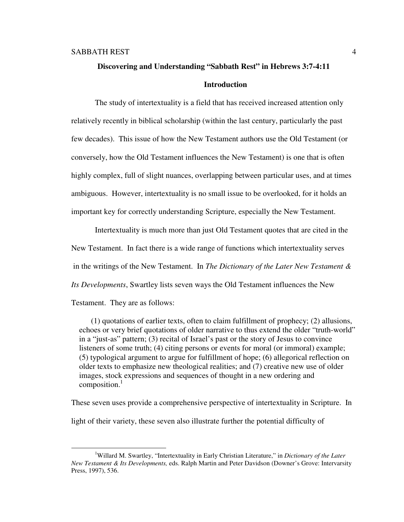# **Discovering and Understanding "Sabbath Rest" in Hebrews 3:7-4:11 Introduction**

 The study of intertextuality is a field that has received increased attention only relatively recently in biblical scholarship (within the last century, particularly the past few decades). This issue of how the New Testament authors use the Old Testament (or conversely, how the Old Testament influences the New Testament) is one that is often highly complex, full of slight nuances, overlapping between particular uses, and at times ambiguous. However, intertextuality is no small issue to be overlooked, for it holds an important key for correctly understanding Scripture, especially the New Testament.

Intertextuality is much more than just Old Testament quotes that are cited in the New Testament. In fact there is a wide range of functions which intertextuality serves in the writings of the New Testament. In *The Dictionary of the Later New Testament & Its Developments*, Swartley lists seven ways the Old Testament influences the New

Testament. They are as follows:

l.

 (1) quotations of earlier texts, often to claim fulfillment of prophecy; (2) allusions, echoes or very brief quotations of older narrative to thus extend the older "truth-world" in a "just-as" pattern; (3) recital of Israel's past or the story of Jesus to convince listeners of some truth; (4) citing persons or events for moral (or immoral) example; (5) typological argument to argue for fulfillment of hope; (6) allegorical reflection on older texts to emphasize new theological realities; and (7) creative new use of older images, stock expressions and sequences of thought in a new ordering and composition.<sup>1</sup>

These seven uses provide a comprehensive perspective of intertextuality in Scripture. In

light of their variety, these seven also illustrate further the potential difficulty of

<sup>1</sup>Willard M. Swartley, "Intertextuality in Early Christian Literature," in *Dictionary of the Later New Testament & Its Developments,* eds. Ralph Martin and Peter Davidson (Downer's Grove: Intervarsity Press, 1997), 536.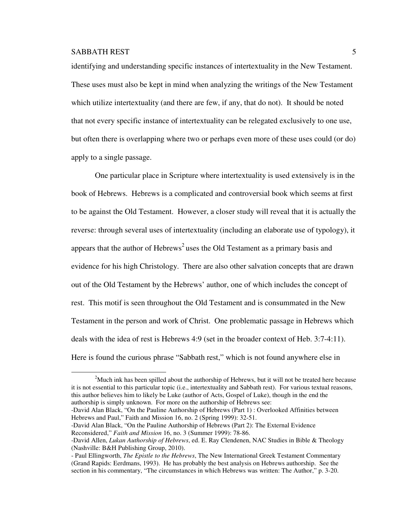l.

identifying and understanding specific instances of intertextuality in the New Testament. These uses must also be kept in mind when analyzing the writings of the New Testament which utilize intertextuality (and there are few, if any, that do not). It should be noted that not every specific instance of intertextuality can be relegated exclusively to one use, but often there is overlapping where two or perhaps even more of these uses could (or do) apply to a single passage.

One particular place in Scripture where intertextuality is used extensively is in the book of Hebrews. Hebrews is a complicated and controversial book which seems at first to be against the Old Testament. However, a closer study will reveal that it is actually the reverse: through several uses of intertextuality (including an elaborate use of typology), it appears that the author of Hebrews<sup>2</sup> uses the Old Testament as a primary basis and evidence for his high Christology. There are also other salvation concepts that are drawn out of the Old Testament by the Hebrews' author, one of which includes the concept of rest. This motif is seen throughout the Old Testament and is consummated in the New Testament in the person and work of Christ. One problematic passage in Hebrews which deals with the idea of rest is Hebrews 4:9 (set in the broader context of Heb. 3:7-4:11). Here is found the curious phrase "Sabbath rest," which is not found anywhere else in

-David Alan Black, "On the Pauline Authorship of Hebrews (Part 1) : Overlooked Affinities between Hebrews and Paul," Faith and Mission 16, no. 2 (Spring 1999): 32-51.

-David Alan Black, "On the Pauline Authorship of Hebrews (Part 2): The External Evidence Reconsidered," *Faith and Mission* 16, no. 3 (Summer 1999): 78-86.

 $2^{\circ}$ Much ink has been spilled about the authorship of Hebrews, but it will not be treated here because it is not essential to this particular topic (i.e., intertextuality and Sabbath rest). For various textual reasons, this author believes him to likely be Luke (author of Acts, Gospel of Luke), though in the end the authorship is simply unknown. For more on the authorship of Hebrews see:

<sup>-</sup>David Allen, *Lukan Authorship of Hebrews*, ed. E. Ray Clendenen, NAC Studies in Bible & Theology (Nashville: B&H Publishing Group, 2010).

<sup>-</sup> Paul Ellingworth, *The Epistle to the Hebrews*, The New International Greek Testament Commentary (Grand Rapids: Eerdmans, 1993). He has probably the best analysis on Hebrews authorship. See the section in his commentary, "The circumstances in which Hebrews was written: The Author," p. 3-20.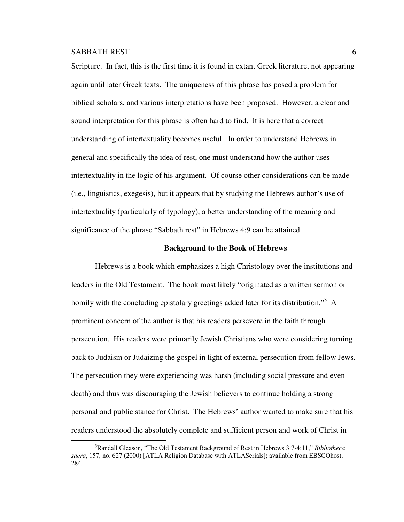$\overline{a}$ 

Scripture. In fact, this is the first time it is found in extant Greek literature, not appearing again until later Greek texts. The uniqueness of this phrase has posed a problem for biblical scholars, and various interpretations have been proposed. However, a clear and sound interpretation for this phrase is often hard to find. It is here that a correct understanding of intertextuality becomes useful. In order to understand Hebrews in general and specifically the idea of rest, one must understand how the author uses intertextuality in the logic of his argument. Of course other considerations can be made (i.e., linguistics, exegesis), but it appears that by studying the Hebrews author's use of intertextuality (particularly of typology), a better understanding of the meaning and significance of the phrase "Sabbath rest" in Hebrews 4:9 can be attained.

#### **Background to the Book of Hebrews**

Hebrews is a book which emphasizes a high Christology over the institutions and leaders in the Old Testament. The book most likely "originated as a written sermon or homily with the concluding epistolary greetings added later for its distribution."<sup>3</sup> A prominent concern of the author is that his readers persevere in the faith through persecution. His readers were primarily Jewish Christians who were considering turning back to Judaism or Judaizing the gospel in light of external persecution from fellow Jews. The persecution they were experiencing was harsh (including social pressure and even death) and thus was discouraging the Jewish believers to continue holding a strong personal and public stance for Christ. The Hebrews' author wanted to make sure that his readers understood the absolutely complete and sufficient person and work of Christ in

<sup>3</sup>Randall Gleason, "The Old Testament Background of Rest in Hebrews 3:7-4:11," *Bibliotheca sacra*, 157*,* no. 627 (2000) [ATLA Religion Database with ATLASerials]; available from EBSCOhost, 284.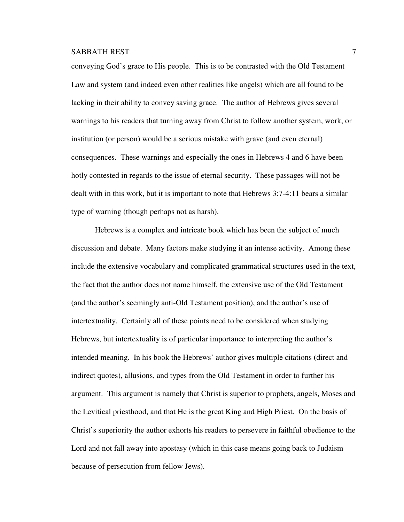conveying God's grace to His people. This is to be contrasted with the Old Testament Law and system (and indeed even other realities like angels) which are all found to be lacking in their ability to convey saving grace. The author of Hebrews gives several warnings to his readers that turning away from Christ to follow another system, work, or institution (or person) would be a serious mistake with grave (and even eternal) consequences. These warnings and especially the ones in Hebrews 4 and 6 have been hotly contested in regards to the issue of eternal security. These passages will not be dealt with in this work, but it is important to note that Hebrews 3:7-4:11 bears a similar type of warning (though perhaps not as harsh).

Hebrews is a complex and intricate book which has been the subject of much discussion and debate. Many factors make studying it an intense activity. Among these include the extensive vocabulary and complicated grammatical structures used in the text, the fact that the author does not name himself, the extensive use of the Old Testament (and the author's seemingly anti-Old Testament position), and the author's use of intertextuality. Certainly all of these points need to be considered when studying Hebrews, but intertextuality is of particular importance to interpreting the author's intended meaning. In his book the Hebrews' author gives multiple citations (direct and indirect quotes), allusions, and types from the Old Testament in order to further his argument. This argument is namely that Christ is superior to prophets, angels, Moses and the Levitical priesthood, and that He is the great King and High Priest. On the basis of Christ's superiority the author exhorts his readers to persevere in faithful obedience to the Lord and not fall away into apostasy (which in this case means going back to Judaism because of persecution from fellow Jews).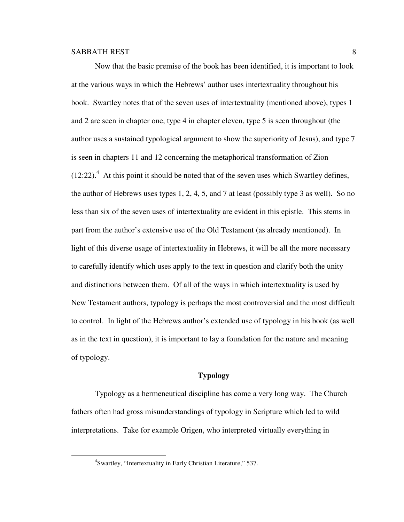Now that the basic premise of the book has been identified, it is important to look at the various ways in which the Hebrews' author uses intertextuality throughout his book. Swartley notes that of the seven uses of intertextuality (mentioned above), types 1 and 2 are seen in chapter one, type 4 in chapter eleven, type 5 is seen throughout (the author uses a sustained typological argument to show the superiority of Jesus), and type 7 is seen in chapters 11 and 12 concerning the metaphorical transformation of Zion  $(12:22).$ <sup>4</sup> At this point it should be noted that of the seven uses which Swartley defines, the author of Hebrews uses types 1, 2, 4, 5, and 7 at least (possibly type 3 as well). So no less than six of the seven uses of intertextuality are evident in this epistle. This stems in part from the author's extensive use of the Old Testament (as already mentioned). In light of this diverse usage of intertextuality in Hebrews, it will be all the more necessary to carefully identify which uses apply to the text in question and clarify both the unity and distinctions between them. Of all of the ways in which intertextuality is used by New Testament authors, typology is perhaps the most controversial and the most difficult to control. In light of the Hebrews author's extended use of typology in his book (as well as in the text in question), it is important to lay a foundation for the nature and meaning of typology.

#### **Typology**

Typology as a hermeneutical discipline has come a very long way. The Church fathers often had gross misunderstandings of typology in Scripture which led to wild interpretations. Take for example Origen, who interpreted virtually everything in

<sup>&</sup>lt;sup>4</sup>Swartley, "Intertextuality in Early Christian Literature," 537.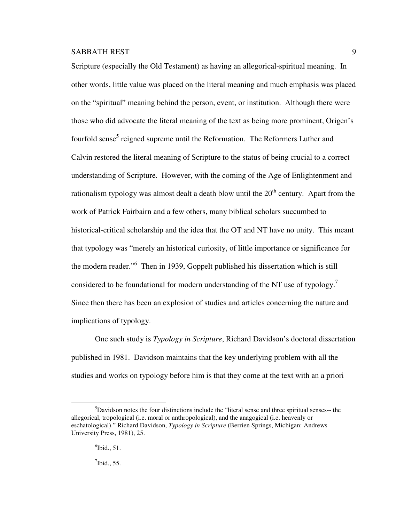Scripture (especially the Old Testament) as having an allegorical-spiritual meaning. In other words, little value was placed on the literal meaning and much emphasis was placed on the "spiritual" meaning behind the person, event, or institution. Although there were those who did advocate the literal meaning of the text as being more prominent, Origen's fourfold sense<sup>5</sup> reigned supreme until the Reformation. The Reformers Luther and Calvin restored the literal meaning of Scripture to the status of being crucial to a correct understanding of Scripture. However, with the coming of the Age of Enlightenment and rationalism typology was almost dealt a death blow until the  $20<sup>th</sup>$  century. Apart from the work of Patrick Fairbairn and a few others, many biblical scholars succumbed to historical-critical scholarship and the idea that the OT and NT have no unity. This meant that typology was "merely an historical curiosity, of little importance or significance for the modern reader."<sup>6</sup> Then in 1939, Goppelt published his dissertation which is still considered to be foundational for modern understanding of the NT use of typology.<sup>7</sup> Since then there has been an explosion of studies and articles concerning the nature and implications of typology.

One such study is *Typology in Scripture*, Richard Davidson's doctoral dissertation published in 1981. Davidson maintains that the key underlying problem with all the studies and works on typology before him is that they come at the text with an a priori

<sup>5</sup>Davidson notes the four distinctions include the "literal sense and three spiritual senses-- the allegorical, tropological (i.e. moral or anthropological), and the anagogical (i.e. heavenly or eschatological)." Richard Davidson, *Typology in Scripture* (Berrien Springs, Michigan: Andrews University Press, 1981), 25.

 $<sup>6</sup>$  Ibid., 51.</sup>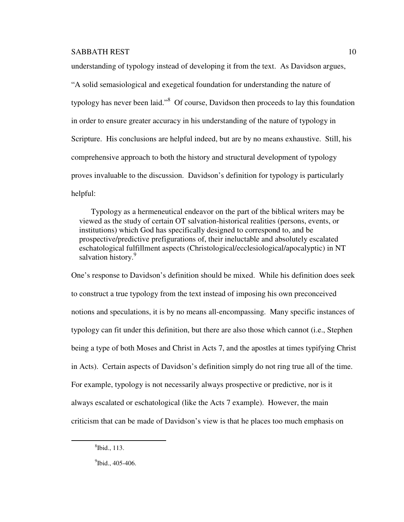understanding of typology instead of developing it from the text. As Davidson argues,

"A solid semasiological and exegetical foundation for understanding the nature of typology has never been laid."<sup>8</sup> Of course, Davidson then proceeds to lay this foundation in order to ensure greater accuracy in his understanding of the nature of typology in Scripture. His conclusions are helpful indeed, but are by no means exhaustive. Still, his comprehensive approach to both the history and structural development of typology proves invaluable to the discussion. Davidson's definition for typology is particularly helpful:

 Typology as a hermeneutical endeavor on the part of the biblical writers may be viewed as the study of certain OT salvation-historical realities (persons, events, or institutions) which God has specifically designed to correspond to, and be prospective/predictive prefigurations of, their ineluctable and absolutely escalated eschatological fulfillment aspects (Christological/ecclesiological/apocalyptic) in NT salvation history.<sup>9</sup>

One's response to Davidson's definition should be mixed. While his definition does seek to construct a true typology from the text instead of imposing his own preconceived notions and speculations, it is by no means all-encompassing. Many specific instances of typology can fit under this definition, but there are also those which cannot (i.e., Stephen being a type of both Moses and Christ in Acts 7, and the apostles at times typifying Christ in Acts). Certain aspects of Davidson's definition simply do not ring true all of the time. For example, typology is not necessarily always prospective or predictive, nor is it always escalated or eschatological (like the Acts 7 example). However, the main criticism that can be made of Davidson's view is that he places too much emphasis on

<sup>8</sup> Ibid., 113.

 $^{9}$ Ibid., 405-406.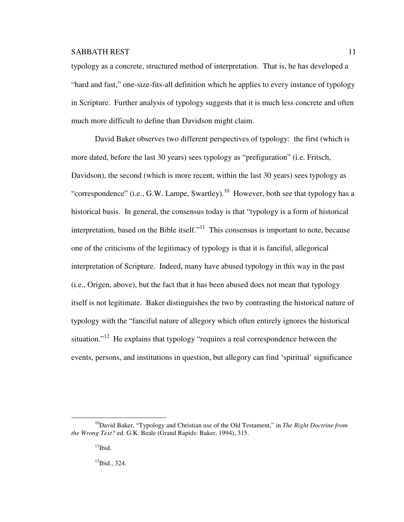typology as a concrete, structured method of interpretation. That is, he has developed a "hard and fast," one-size-fits-all definition which he applies to every instance of typology in Scripture. Further analysis of typology suggests that it is much less concrete and often much more difficult to define than Davidson might claim.

 David Baker observes two different perspectives of typology: the first (which is more dated, before the last 30 years) sees typology as "prefiguration" (i.e. Fritsch, Davidson), the second (which is more recent, within the last 30 years) sees typology as "correspondence" (i.e., G.W. Lampe, Swartley).<sup>10</sup> However, both see that typology has a historical basis. In general, the consensus today is that "typology is a form of historical interpretation, based on the Bible itself."<sup>11</sup> This consensus is important to note, because one of the criticisms of the legitimacy of typology is that it is fanciful, allegorical interpretation of Scripture. Indeed, many have abused typology in this way in the past (i.e., Origen, above), but the fact that it has been abused does not mean that typology itself is not legitimate. Baker distinguishes the two by contrasting the historical nature of typology with the "fanciful nature of allegory which often entirely ignores the historical situation."<sup>12</sup> He explains that typology "requires a real correspondence between the events, persons, and institutions in question, but allegory can find 'spiritual' significance

 $12$ Ibid., 324.

<sup>10</sup>David Baker, "Typology and Christian use of the Old Testament," in *The Right Doctrine from the Wrong Text?* ed. G.K. Beale (Grand Rapids: Baker, 1994), 315.

 $11$ Ibid.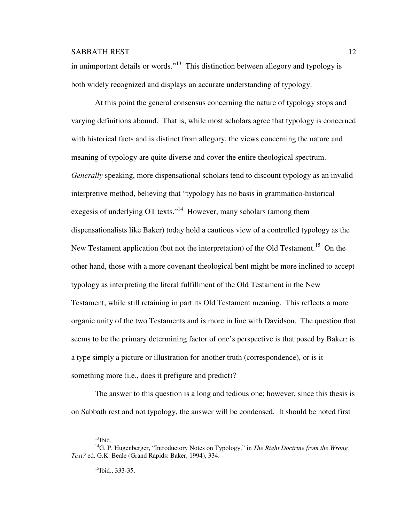in unimportant details or words."<sup>13</sup> This distinction between allegory and typology is both widely recognized and displays an accurate understanding of typology.

 At this point the general consensus concerning the nature of typology stops and varying definitions abound. That is, while most scholars agree that typology is concerned with historical facts and is distinct from allegory, the views concerning the nature and meaning of typology are quite diverse and cover the entire theological spectrum. *Generally* speaking, more dispensational scholars tend to discount typology as an invalid interpretive method, believing that "typology has no basis in grammatico-historical exegesis of underlying OT texts."<sup>14</sup> However, many scholars (among them dispensationalists like Baker) today hold a cautious view of a controlled typology as the New Testament application (but not the interpretation) of the Old Testament.<sup>15</sup> On the other hand, those with a more covenant theological bent might be more inclined to accept typology as interpreting the literal fulfillment of the Old Testament in the New Testament, while still retaining in part its Old Testament meaning. This reflects a more organic unity of the two Testaments and is more in line with Davidson. The question that seems to be the primary determining factor of one's perspective is that posed by Baker: is a type simply a picture or illustration for another truth (correspondence), or is it something more (i.e., does it prefigure and predict)?

 The answer to this question is a long and tedious one; however, since this thesis is on Sabbath rest and not typology, the answer will be condensed. It should be noted first

 $13$ Ibid.

<sup>14</sup>G. P. Hugenberger, "Introductory Notes on Typology," in *The Right Doctrine from the Wrong Text?* ed. G.K. Beale (Grand Rapids: Baker, 1994), 334.

 $15$ Ibid., 333-35.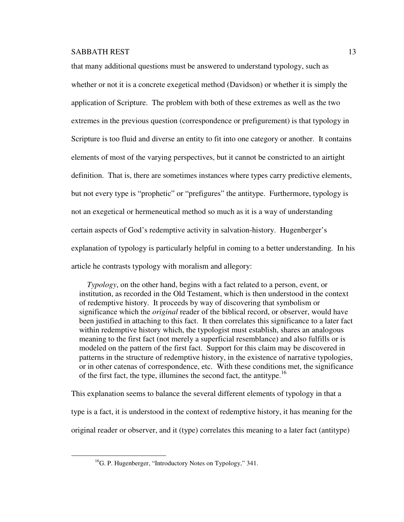that many additional questions must be answered to understand typology, such as whether or not it is a concrete exegetical method (Davidson) or whether it is simply the application of Scripture. The problem with both of these extremes as well as the two extremes in the previous question (correspondence or prefigurement) is that typology in Scripture is too fluid and diverse an entity to fit into one category or another. It contains elements of most of the varying perspectives, but it cannot be constricted to an airtight definition. That is, there are sometimes instances where types carry predictive elements, but not every type is "prophetic" or "prefigures" the antitype. Furthermore, typology is not an exegetical or hermeneutical method so much as it is a way of understanding certain aspects of God's redemptive activity in salvation-history. Hugenberger's explanation of typology is particularly helpful in coming to a better understanding. In his article he contrasts typology with moralism and allegory:

 *Typology*, on the other hand, begins with a fact related to a person, event, or institution, as recorded in the Old Testament, which is then understood in the context of redemptive history. It proceeds by way of discovering that symbolism or significance which the *original* reader of the biblical record, or observer, would have been justified in attaching to this fact. It then correlates this significance to a later fact within redemptive history which, the typologist must establish, shares an analogous meaning to the first fact (not merely a superficial resemblance) and also fulfills or is modeled on the pattern of the first fact. Support for this claim may be discovered in patterns in the structure of redemptive history, in the existence of narrative typologies, or in other catenas of correspondence, etc. With these conditions met, the significance of the first fact, the type, illumines the second fact, the antitype.<sup>16</sup>

This explanation seems to balance the several different elements of typology in that a type is a fact, it is understood in the context of redemptive history, it has meaning for the original reader or observer, and it (type) correlates this meaning to a later fact (antitype)

 $\overline{a}$ 

 $^{16}$ G. P. Hugenberger, "Introductory Notes on Typology," 341.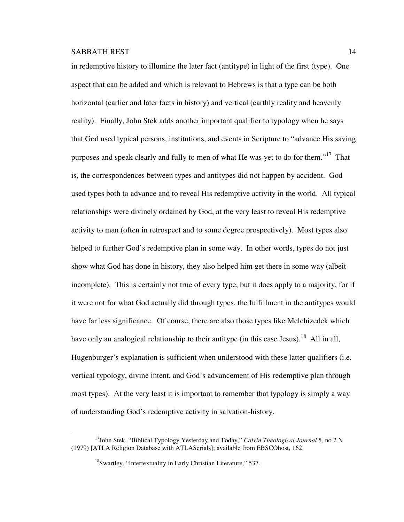$\overline{a}$ 

in redemptive history to illumine the later fact (antitype) in light of the first (type). One aspect that can be added and which is relevant to Hebrews is that a type can be both horizontal (earlier and later facts in history) and vertical (earthly reality and heavenly reality). Finally, John Stek adds another important qualifier to typology when he says that God used typical persons, institutions, and events in Scripture to "advance His saving purposes and speak clearly and fully to men of what He was yet to do for them."<sup>17</sup> That is, the correspondences between types and antitypes did not happen by accident. God used types both to advance and to reveal His redemptive activity in the world. All typical relationships were divinely ordained by God, at the very least to reveal His redemptive activity to man (often in retrospect and to some degree prospectively). Most types also helped to further God's redemptive plan in some way. In other words, types do not just show what God has done in history, they also helped him get there in some way (albeit incomplete). This is certainly not true of every type, but it does apply to a majority, for if it were not for what God actually did through types, the fulfillment in the antitypes would have far less significance. Of course, there are also those types like Melchizedek which have only an analogical relationship to their antitype (in this case Jesus).<sup>18</sup> All in all, Hugenburger's explanation is sufficient when understood with these latter qualifiers (i.e. vertical typology, divine intent, and God's advancement of His redemptive plan through most types). At the very least it is important to remember that typology is simply a way of understanding God's redemptive activity in salvation-history.

<sup>&</sup>lt;sup>17</sup>John Stek, "Biblical Typology Yesterday and Today," *Calvin Theological Journal* 5, no 2 N (1979) [ATLA Religion Database with ATLASerials]; available from EBSCOhost, 162.

<sup>&</sup>lt;sup>18</sup>Swartley, "Intertextuality in Early Christian Literature," 537.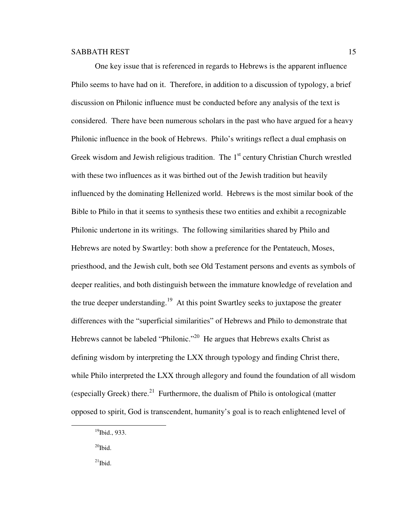One key issue that is referenced in regards to Hebrews is the apparent influence Philo seems to have had on it. Therefore, in addition to a discussion of typology, a brief discussion on Philonic influence must be conducted before any analysis of the text is considered. There have been numerous scholars in the past who have argued for a heavy Philonic influence in the book of Hebrews. Philo's writings reflect a dual emphasis on Greek wisdom and Jewish religious tradition. The  $1<sup>st</sup>$  century Christian Church wrestled with these two influences as it was birthed out of the Jewish tradition but heavily influenced by the dominating Hellenized world. Hebrews is the most similar book of the Bible to Philo in that it seems to synthesis these two entities and exhibit a recognizable Philonic undertone in its writings. The following similarities shared by Philo and Hebrews are noted by Swartley: both show a preference for the Pentateuch, Moses, priesthood, and the Jewish cult, both see Old Testament persons and events as symbols of deeper realities, and both distinguish between the immature knowledge of revelation and the true deeper understanding.<sup>19</sup> At this point Swartley seeks to juxtapose the greater differences with the "superficial similarities" of Hebrews and Philo to demonstrate that Hebrews cannot be labeled "Philonic."<sup>20</sup> He argues that Hebrews exalts Christ as defining wisdom by interpreting the LXX through typology and finding Christ there, while Philo interpreted the LXX through allegory and found the foundation of all wisdom (especially Greek) there.<sup>21</sup> Furthermore, the dualism of Philo is ontological (matter opposed to spirit, God is transcendent, humanity's goal is to reach enlightened level of

 $^{20}$ Ibid.

 $\overline{a}$ 

 $^{21}$ Ibid.

 $19$ Ibid., 933.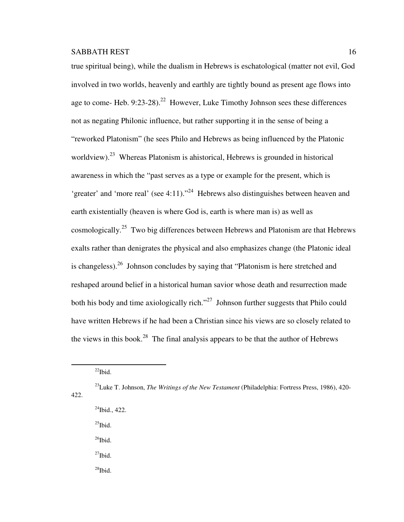true spiritual being), while the dualism in Hebrews is eschatological (matter not evil, God involved in two worlds, heavenly and earthly are tightly bound as present age flows into age to come- Heb.  $9:23-28$ ).<sup>22</sup> However, Luke Timothy Johnson sees these differences not as negating Philonic influence, but rather supporting it in the sense of being a "reworked Platonism" (he sees Philo and Hebrews as being influenced by the Platonic worldview).<sup>23</sup> Whereas Platonism is ahistorical, Hebrews is grounded in historical awareness in which the "past serves as a type or example for the present, which is 'greater' and 'more real' (see 4:11)."<sup>24</sup> Hebrews also distinguishes between heaven and earth existentially (heaven is where God is, earth is where man is) as well as cosmologically.<sup>25</sup> Two big differences between Hebrews and Platonism are that Hebrews exalts rather than denigrates the physical and also emphasizes change (the Platonic ideal is changeless).<sup>26</sup> Johnson concludes by saying that "Platonism is here stretched and reshaped around belief in a historical human savior whose death and resurrection made both his body and time axiologically rich."<sup>27</sup> Johnson further suggests that Philo could have written Hebrews if he had been a Christian since his views are so closely related to the views in this book.<sup>28</sup> The final analysis appears to be that the author of Hebrews

 $\overline{a}$ 

- $^{24}$ Ibid., 422.
- $^{25}$ Ibid.
- $^{26}$ Ibid.
- $^{27}$ Ibid.
- $^{28}$ Ibid.

 $^{22}$ Ibid.

<sup>23</sup>Luke T. Johnson, *The Writings of the New Testament* (Philadelphia: Fortress Press, 1986), 420- 422.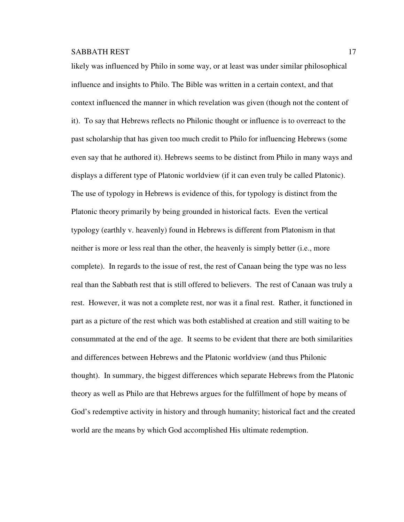likely was influenced by Philo in some way, or at least was under similar philosophical influence and insights to Philo. The Bible was written in a certain context, and that context influenced the manner in which revelation was given (though not the content of it). To say that Hebrews reflects no Philonic thought or influence is to overreact to the past scholarship that has given too much credit to Philo for influencing Hebrews (some even say that he authored it). Hebrews seems to be distinct from Philo in many ways and displays a different type of Platonic worldview (if it can even truly be called Platonic). The use of typology in Hebrews is evidence of this, for typology is distinct from the Platonic theory primarily by being grounded in historical facts. Even the vertical typology (earthly v. heavenly) found in Hebrews is different from Platonism in that neither is more or less real than the other, the heavenly is simply better (i.e., more complete). In regards to the issue of rest, the rest of Canaan being the type was no less real than the Sabbath rest that is still offered to believers. The rest of Canaan was truly a rest. However, it was not a complete rest, nor was it a final rest. Rather, it functioned in part as a picture of the rest which was both established at creation and still waiting to be consummated at the end of the age. It seems to be evident that there are both similarities and differences between Hebrews and the Platonic worldview (and thus Philonic thought). In summary, the biggest differences which separate Hebrews from the Platonic theory as well as Philo are that Hebrews argues for the fulfillment of hope by means of God's redemptive activity in history and through humanity; historical fact and the created world are the means by which God accomplished His ultimate redemption.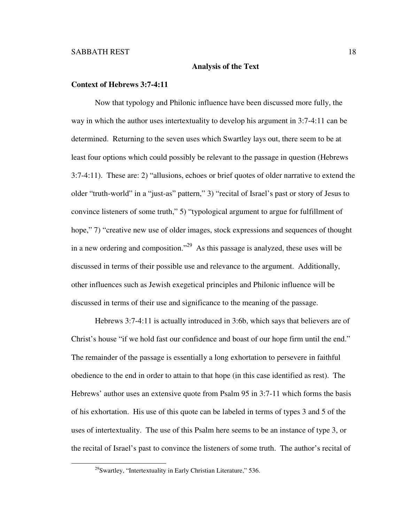#### **Analysis of the Text**

#### **Context of Hebrews 3:7-4:11**

Now that typology and Philonic influence have been discussed more fully, the way in which the author uses intertextuality to develop his argument in 3:7-4:11 can be determined. Returning to the seven uses which Swartley lays out, there seem to be at least four options which could possibly be relevant to the passage in question (Hebrews 3:7-4:11). These are: 2) "allusions, echoes or brief quotes of older narrative to extend the older "truth-world" in a "just-as" pattern," 3) "recital of Israel's past or story of Jesus to convince listeners of some truth," 5) "typological argument to argue for fulfillment of hope," 7) "creative new use of older images, stock expressions and sequences of thought in a new ordering and composition."<sup>29</sup> As this passage is analyzed, these uses will be discussed in terms of their possible use and relevance to the argument. Additionally, other influences such as Jewish exegetical principles and Philonic influence will be discussed in terms of their use and significance to the meaning of the passage.

Hebrews 3:7-4:11 is actually introduced in 3:6b, which says that believers are of Christ's house "if we hold fast our confidence and boast of our hope firm until the end." The remainder of the passage is essentially a long exhortation to persevere in faithful obedience to the end in order to attain to that hope (in this case identified as rest). The Hebrews' author uses an extensive quote from Psalm 95 in 3:7-11 which forms the basis of his exhortation. His use of this quote can be labeled in terms of types 3 and 5 of the uses of intertextuality. The use of this Psalm here seems to be an instance of type 3, or the recital of Israel's past to convince the listeners of some truth. The author's recital of

<sup>29</sup>Swartley, "Intertextuality in Early Christian Literature," 536.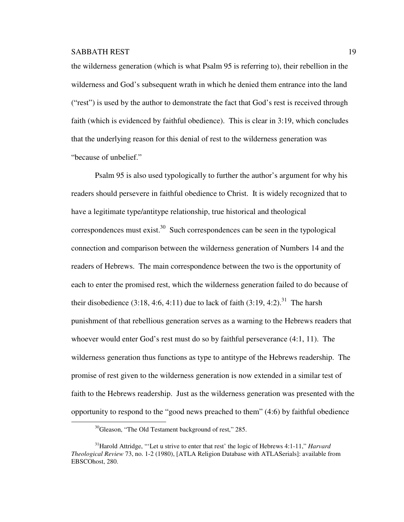the wilderness generation (which is what Psalm 95 is referring to), their rebellion in the wilderness and God's subsequent wrath in which he denied them entrance into the land ("rest") is used by the author to demonstrate the fact that God's rest is received through faith (which is evidenced by faithful obedience). This is clear in 3:19, which concludes that the underlying reason for this denial of rest to the wilderness generation was "because of unbelief."

Psalm 95 is also used typologically to further the author's argument for why his readers should persevere in faithful obedience to Christ. It is widely recognized that to have a legitimate type/antitype relationship, true historical and theological correspondences must exist.<sup>30</sup> Such correspondences can be seen in the typological connection and comparison between the wilderness generation of Numbers 14 and the readers of Hebrews. The main correspondence between the two is the opportunity of each to enter the promised rest, which the wilderness generation failed to do because of their disobedience  $(3:18, 4:6, 4:11)$  due to lack of faith  $(3:19, 4:2)$ .<sup>31</sup> The harsh punishment of that rebellious generation serves as a warning to the Hebrews readers that whoever would enter God's rest must do so by faithful perseverance (4:1, 11). The wilderness generation thus functions as type to antitype of the Hebrews readership. The promise of rest given to the wilderness generation is now extended in a similar test of faith to the Hebrews readership. Just as the wilderness generation was presented with the opportunity to respond to the "good news preached to them" (4:6) by faithful obedience l.

 $30$ Gleason, "The Old Testament background of rest," 285.

<sup>31</sup>Harold Attridge, "'Let u strive to enter that rest' the logic of Hebrews 4:1-11," *Harvard Theological Review* 73, no. 1-2 (1980), [ATLA Religion Database with ATLASerials]: available from EBSCOhost, 280.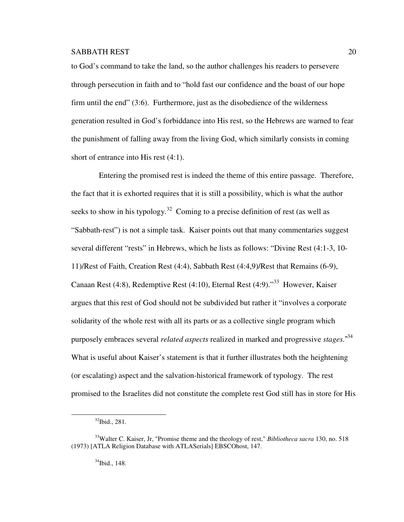to God's command to take the land, so the author challenges his readers to persevere through persecution in faith and to "hold fast our confidence and the boast of our hope firm until the end" (3:6). Furthermore, just as the disobedience of the wilderness generation resulted in God's forbiddance into His rest, so the Hebrews are warned to fear the punishment of falling away from the living God, which similarly consists in coming short of entrance into His rest (4:1).

 Entering the promised rest is indeed the theme of this entire passage. Therefore, the fact that it is exhorted requires that it is still a possibility, which is what the author seeks to show in his typology.<sup>32</sup> Coming to a precise definition of rest (as well as "Sabbath-rest") is not a simple task. Kaiser points out that many commentaries suggest several different "rests" in Hebrews, which he lists as follows: "Divine Rest (4:1-3, 10- 11)/Rest of Faith, Creation Rest (4:4), Sabbath Rest (4:4,9)/Rest that Remains (6-9), Canaan Rest (4:8), Redemptive Rest (4:10), Eternal Rest (4:9). $133$  However, Kaiser argues that this rest of God should not be subdivided but rather it "involves a corporate solidarity of the whole rest with all its parts or as a collective single program which purposely embraces several *related aspects* realized in marked and progressive *stages.*" 34 What is useful about Kaiser's statement is that it further illustrates both the heightening (or escalating) aspect and the salvation-historical framework of typology. The rest promised to the Israelites did not constitute the complete rest God still has in store for His

l.

 $34$ Ibid., 148.

 $32$ Ibid., 281.

<sup>33</sup>Walter C. Kaiser, Jr, "Promise theme and the theology of rest," *Bibliotheca sacra* 130, no. 518 (1973) [ATLA Religion Database with ATLASerials] EBSCOhost, 147.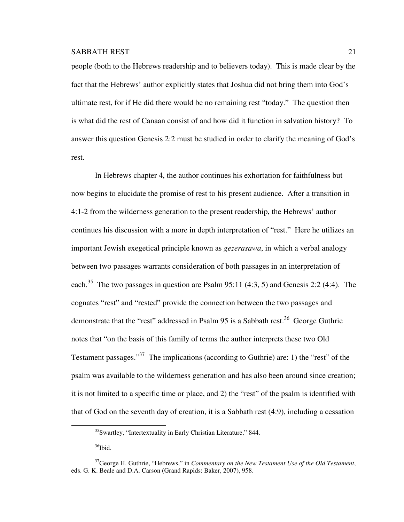people (both to the Hebrews readership and to believers today). This is made clear by the fact that the Hebrews' author explicitly states that Joshua did not bring them into God's ultimate rest, for if He did there would be no remaining rest "today." The question then is what did the rest of Canaan consist of and how did it function in salvation history? To answer this question Genesis 2:2 must be studied in order to clarify the meaning of God's rest.

In Hebrews chapter 4, the author continues his exhortation for faithfulness but now begins to elucidate the promise of rest to his present audience. After a transition in 4:1-2 from the wilderness generation to the present readership, the Hebrews' author continues his discussion with a more in depth interpretation of "rest." Here he utilizes an important Jewish exegetical principle known as *gezerasawa*, in which a verbal analogy between two passages warrants consideration of both passages in an interpretation of each.<sup>35</sup> The two passages in question are Psalm 95:11 (4:3, 5) and Genesis 2:2 (4:4). The cognates "rest" and "rested" provide the connection between the two passages and demonstrate that the "rest" addressed in Psalm 95 is a Sabbath rest.<sup>36</sup> George Guthrie notes that "on the basis of this family of terms the author interprets these two Old Testament passages."<sup>37</sup> The implications (according to Guthrie) are: 1) the "rest" of the psalm was available to the wilderness generation and has also been around since creation; it is not limited to a specific time or place, and 2) the "rest" of the psalm is identified with that of God on the seventh day of creation, it is a Sabbath rest (4:9), including a cessation

<sup>35</sup>Swartley, "Intertextuality in Early Christian Literature," 844.

<sup>&</sup>lt;sup>36</sup>Ibid.

<sup>37</sup>George H. Guthrie, "Hebrews," in *Commentary on the New Testament Use of the Old Testament*, eds. G. K. Beale and D.A. Carson (Grand Rapids: Baker, 2007), 958.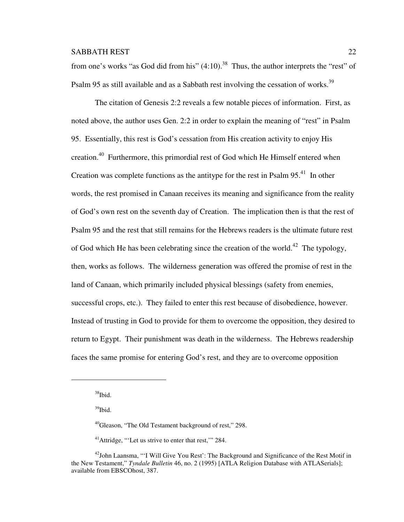from one's works "as God did from his"  $(4:10)$ .<sup>38</sup> Thus, the author interprets the "rest" of Psalm 95 as still available and as a Sabbath rest involving the cessation of works.<sup>39</sup>

The citation of Genesis 2:2 reveals a few notable pieces of information. First, as noted above, the author uses Gen. 2:2 in order to explain the meaning of "rest" in Psalm 95. Essentially, this rest is God's cessation from His creation activity to enjoy His creation.<sup>40</sup> Furthermore, this primordial rest of God which He Himself entered when Creation was complete functions as the antitype for the rest in Psalm  $95<sup>41</sup>$ . In other words, the rest promised in Canaan receives its meaning and significance from the reality of God's own rest on the seventh day of Creation. The implication then is that the rest of Psalm 95 and the rest that still remains for the Hebrews readers is the ultimate future rest of God which He has been celebrating since the creation of the world.<sup>42</sup> The typology, then, works as follows. The wilderness generation was offered the promise of rest in the land of Canaan, which primarily included physical blessings (safety from enemies, successful crops, etc.). They failed to enter this rest because of disobedience, however. Instead of trusting in God to provide for them to overcome the opposition, they desired to return to Egypt. Their punishment was death in the wilderness. The Hebrews readership faces the same promise for entering God's rest, and they are to overcome opposition

l.

<sup>39</sup>Ibid.

<sup>40</sup>Gleason, "The Old Testament background of rest," 298.

<sup>41</sup>Attridge, "'Let us strive to enter that rest,'" 284.

<sup>38</sup>Ibid.

<sup>&</sup>lt;sup>42</sup>John Laansma, "'I Will Give You Rest': The Background and Significance of the Rest Motif in the New Testament," *Tyndale Bulletin* 46, no. 2 (1995) [ATLA Religion Database with ATLASerials]; available from EBSCOhost, 387.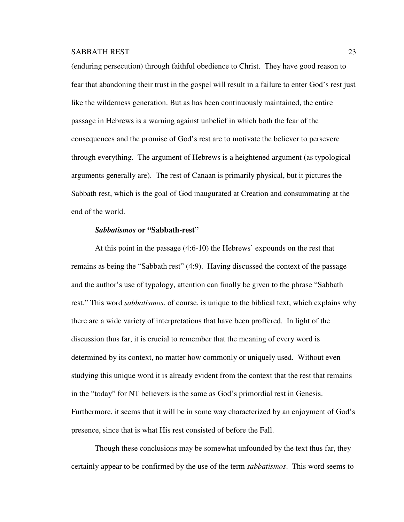(enduring persecution) through faithful obedience to Christ. They have good reason to fear that abandoning their trust in the gospel will result in a failure to enter God's rest just like the wilderness generation. But as has been continuously maintained, the entire passage in Hebrews is a warning against unbelief in which both the fear of the consequences and the promise of God's rest are to motivate the believer to persevere through everything. The argument of Hebrews is a heightened argument (as typological arguments generally are). The rest of Canaan is primarily physical, but it pictures the Sabbath rest, which is the goal of God inaugurated at Creation and consummating at the end of the world.

#### *Sabbatismos* **or "Sabbath-rest"**

At this point in the passage (4:6-10) the Hebrews' expounds on the rest that remains as being the "Sabbath rest" (4:9). Having discussed the context of the passage and the author's use of typology, attention can finally be given to the phrase "Sabbath rest." This word *sabbatismos*, of course, is unique to the biblical text, which explains why there are a wide variety of interpretations that have been proffered. In light of the discussion thus far, it is crucial to remember that the meaning of every word is determined by its context, no matter how commonly or uniquely used. Without even studying this unique word it is already evident from the context that the rest that remains in the "today" for NT believers is the same as God's primordial rest in Genesis. Furthermore, it seems that it will be in some way characterized by an enjoyment of God's presence, since that is what His rest consisted of before the Fall.

Though these conclusions may be somewhat unfounded by the text thus far, they certainly appear to be confirmed by the use of the term *sabbatismos*. This word seems to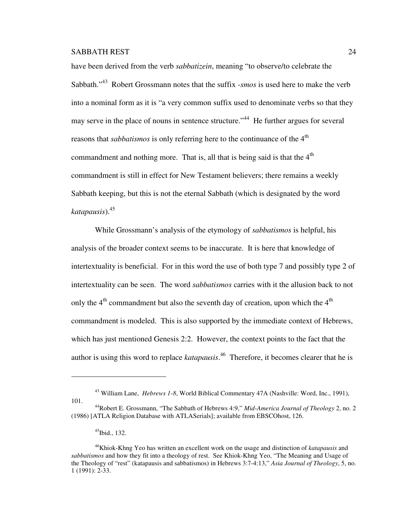have been derived from the verb *sabbatizein*, meaning "to observe/to celebrate the Sabbath."<sup>43</sup> Robert Grossmann notes that the suffix -*smos* is used here to make the verb into a nominal form as it is "a very common suffix used to denominate verbs so that they may serve in the place of nouns in sentence structure."<sup>44</sup> He further argues for several reasons that *sabbatismos* is only referring here to the continuance of the 4<sup>th</sup> commandment and nothing more. That is, all that is being said is that the  $4<sup>th</sup>$ commandment is still in effect for New Testament believers; there remains a weekly Sabbath keeping, but this is not the eternal Sabbath (which is designated by the word *katapausis*).<sup>45</sup>

While Grossmann's analysis of the etymology of *sabbatismos* is helpful, his analysis of the broader context seems to be inaccurate. It is here that knowledge of intertextuality is beneficial. For in this word the use of both type 7 and possibly type 2 of intertextuality can be seen. The word *sabbatismos* carries with it the allusion back to not only the  $4<sup>th</sup>$  commandment but also the seventh day of creation, upon which the  $4<sup>th</sup>$ commandment is modeled. This is also supported by the immediate context of Hebrews, which has just mentioned Genesis 2:2. However, the context points to the fact that the author is using this word to replace *katapausis*. <sup>46</sup> Therefore, it becomes clearer that he is

 $\overline{a}$ 

<sup>43</sup> William Lane, *Hebrews 1-8*, World Biblical Commentary 47A (Nashville: Word, Inc., 1991), 101.

<sup>44</sup>Robert E. Grossmann, "The Sabbath of Hebrews 4:9," *Mid-America Journal of Theology* 2, no. 2 (1986) [ATLA Religion Database with ATLASerials]; available from EBSCOhost, 126.

 $45$ Ibid., 132.

<sup>46</sup>Khiok-Khng Yeo has written an excellent work on the usage and distinction of *katapausis* and *sabbatismos* and how they fit into a theology of rest. See Khiok-Khng Yeo, "The Meaning and Usage of the Theology of "rest" (katapausis and sabbatismos) in Hebrews 3:7-4:13," *Asia Journal of Theology*, 5, no. 1 (1991): 2-33.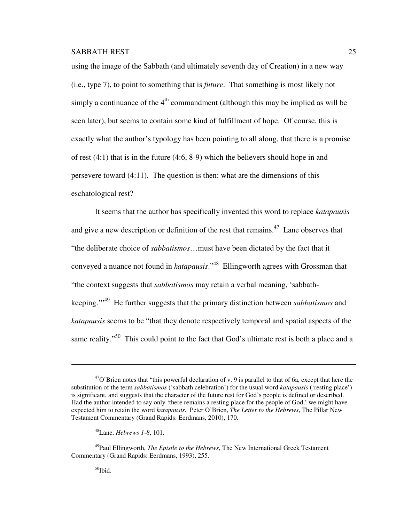using the image of the Sabbath (and ultimately seventh day of Creation) in a new way (i.e., type 7), to point to something that is *future*. That something is most likely not simply a continuance of the  $4<sup>th</sup>$  commandment (although this may be implied as will be seen later), but seems to contain some kind of fulfillment of hope. Of course, this is exactly what the author's typology has been pointing to all along, that there is a promise of rest (4:1) that is in the future (4:6, 8-9) which the believers should hope in and persevere toward (4:11). The question is then: what are the dimensions of this eschatological rest?

It seems that the author has specifically invented this word to replace *katapausis* and give a new description or definition of the rest that remains.<sup>47</sup> Lane observes that "the deliberate choice of *sabbatismos*…must have been dictated by the fact that it conveyed a nuance not found in *katapausis*."<sup>48</sup> Ellingworth agrees with Grossman that "the context suggests that *sabbatismos* may retain a verbal meaning, 'sabbathkeeping.'"<sup>49</sup> He further suggests that the primary distinction between *sabbatismos* and *katapausis* seems to be "that they denote respectively temporal and spatial aspects of the same reality."<sup>50</sup> This could point to the fact that God's ultimate rest is both a place and a

 $^{47}$ O'Brien notes that "this powerful declaration of v. 9 is parallel to that of 6a, except that here the substitution of the term *sabbatismos* ('sabbath celebration') for the usual word *katapausis* ('resting place') is significant, and suggests that the character of the future rest for God's people is defined or described. Had the author intended to say only 'there remains a resting place for the people of God,' we might have expected him to retain the word *katapausis*. Peter O'Brien, *The Letter to the Hebrews*, The Pillar New Testament Commentary (Grand Rapids: Eerdmans, 2010), 170.

<sup>48</sup>Lane, *Hebrews 1-8*, 101.

<sup>49</sup>Paul Ellingworth, *The Epistle to the Hebrews*, The New International Greek Testament Commentary (Grand Rapids: Eerdmans, 1993), 255.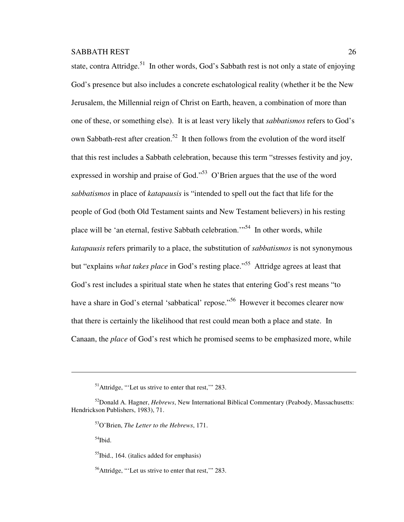state, contra Attridge.<sup>51</sup> In other words, God's Sabbath rest is not only a state of enjoying God's presence but also includes a concrete eschatological reality (whether it be the New Jerusalem, the Millennial reign of Christ on Earth, heaven, a combination of more than one of these, or something else). It is at least very likely that *sabbatismos* refers to God's own Sabbath-rest after creation.<sup>52</sup> It then follows from the evolution of the word itself that this rest includes a Sabbath celebration, because this term "stresses festivity and joy, expressed in worship and praise of God."<sup>53</sup> O'Brien argues that the use of the word *sabbatismos* in place of *katapausis* is "intended to spell out the fact that life for the people of God (both Old Testament saints and New Testament believers) in his resting place will be 'an eternal, festive Sabbath celebration.'"<sup>54</sup> In other words, while *katapausis* refers primarily to a place, the substitution of *sabbatismos* is not synonymous but "explains *what takes place* in God's resting place."<sup>55</sup> Attridge agrees at least that God's rest includes a spiritual state when he states that entering God's rest means "to have a share in God's eternal 'sabbatical' repose."<sup>56</sup> However it becomes clearer now that there is certainly the likelihood that rest could mean both a place and state. In Canaan, the *place* of God's rest which he promised seems to be emphasized more, while

 $54$ Ibid.

l.

 $<sup>55</sup>$ Ibid., 164. (italics added for emphasis)</sup>

<sup>&</sup>lt;sup>51</sup>Attridge, "'Let us strive to enter that rest," 283.

<sup>52</sup>Donald A. Hagner, *Hebrews*, New International Biblical Commentary (Peabody, Massachusetts: Hendrickson Publishers, 1983), 71.

<sup>53</sup>O'Brien, *The Letter to the Hebrews*, 171.

<sup>56</sup>Attridge, "'Let us strive to enter that rest,'" 283.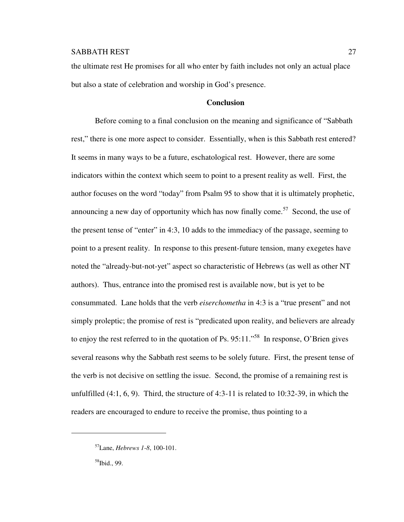the ultimate rest He promises for all who enter by faith includes not only an actual place but also a state of celebration and worship in God's presence.

## **Conclusion**

Before coming to a final conclusion on the meaning and significance of "Sabbath rest," there is one more aspect to consider. Essentially, when is this Sabbath rest entered? It seems in many ways to be a future, eschatological rest. However, there are some indicators within the context which seem to point to a present reality as well. First, the author focuses on the word "today" from Psalm 95 to show that it is ultimately prophetic, announcing a new day of opportunity which has now finally come.<sup>57</sup> Second, the use of the present tense of "enter" in 4:3, 10 adds to the immediacy of the passage, seeming to point to a present reality. In response to this present-future tension, many exegetes have noted the "already-but-not-yet" aspect so characteristic of Hebrews (as well as other NT authors). Thus, entrance into the promised rest is available now, but is yet to be consummated. Lane holds that the verb *eiserchometha* in 4:3 is a "true present" and not simply proleptic; the promise of rest is "predicated upon reality, and believers are already to enjoy the rest referred to in the quotation of Ps. 95:11."<sup>58</sup> In response, O'Brien gives several reasons why the Sabbath rest seems to be solely future. First, the present tense of the verb is not decisive on settling the issue. Second, the promise of a remaining rest is unfulfilled  $(4:1, 6, 9)$ . Third, the structure of  $4:3-11$  is related to 10:32-39, in which the readers are encouraged to endure to receive the promise, thus pointing to a

<sup>57</sup>Lane, *Hebrews 1-8*, 100-101.

 $58$ Ibid., 99.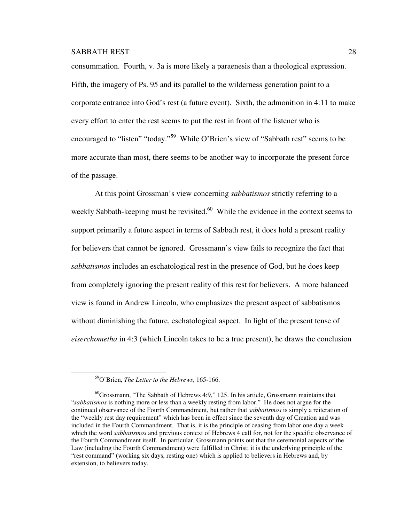consummation. Fourth, v. 3a is more likely a paraenesis than a theological expression. Fifth, the imagery of Ps. 95 and its parallel to the wilderness generation point to a corporate entrance into God's rest (a future event). Sixth, the admonition in 4:11 to make every effort to enter the rest seems to put the rest in front of the listener who is encouraged to "listen" "today."<sup>59</sup> While O'Brien's view of "Sabbath rest" seems to be more accurate than most, there seems to be another way to incorporate the present force of the passage.

At this point Grossman's view concerning *sabbatismos* strictly referring to a weekly Sabbath-keeping must be revisited. $60$  While the evidence in the context seems to support primarily a future aspect in terms of Sabbath rest, it does hold a present reality for believers that cannot be ignored. Grossmann's view fails to recognize the fact that *sabbatismos* includes an eschatological rest in the presence of God, but he does keep from completely ignoring the present reality of this rest for believers. A more balanced view is found in Andrew Lincoln, who emphasizes the present aspect of sabbatismos without diminishing the future, eschatological aspect. In light of the present tense of *eiserchometha* in 4:3 (which Lincoln takes to be a true present), he draws the conclusion

<sup>59</sup>O'Brien, *The Letter to the Hebrews*, 165-166.

<sup>60</sup>Grossmann, "The Sabbath of Hebrews 4:9," 125. In his article, Grossmann maintains that "*sabbatismos* is nothing more or less than a weekly resting from labor." He does not argue for the continued observance of the Fourth Commandment, but rather that *sabbatismos* is simply a reiteration of the "weekly rest day requirement" which has been in effect since the seventh day of Creation and was included in the Fourth Commandment. That is, it is the principle of ceasing from labor one day a week which the word *sabbatismos* and previous context of Hebrews 4 call for, not for the specific observance of the Fourth Commandment itself. In particular, Grossmann points out that the ceremonial aspects of the Law (including the Fourth Commandment) were fulfilled in Christ; it is the underlying principle of the "rest command" (working six days, resting one) which is applied to believers in Hebrews and, by extension, to believers today.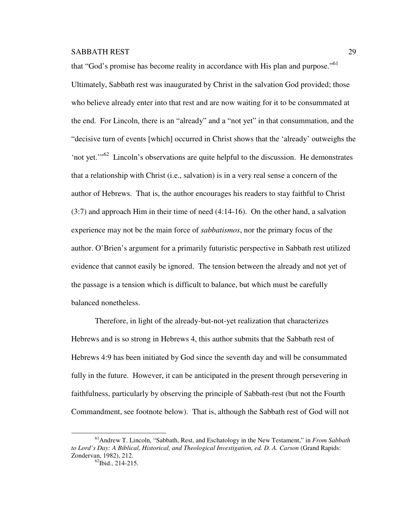$\overline{a}$ 

that "God's promise has become reality in accordance with His plan and purpose."<sup>61</sup> Ultimately, Sabbath rest was inaugurated by Christ in the salvation God provided; those who believe already enter into that rest and are now waiting for it to be consummated at the end. For Lincoln, there is an "already" and a "not yet" in that consummation, and the "decisive turn of events [which] occurred in Christ shows that the 'already' outweighs the 'not yet.'"<sup>62</sup> Lincoln's observations are quite helpful to the discussion. He demonstrates that a relationship with Christ (i.e., salvation) is in a very real sense a concern of the author of Hebrews. That is, the author encourages his readers to stay faithful to Christ (3:7) and approach Him in their time of need (4:14-16). On the other hand, a salvation experience may not be the main force of *sabbatismos*, nor the primary focus of the author. O'Brien's argument for a primarily futuristic perspective in Sabbath rest utilized evidence that cannot easily be ignored. The tension between the already and not yet of the passage is a tension which is difficult to balance, but which must be carefully balanced nonetheless.

Therefore, in light of the already-but-not-yet realization that characterizes Hebrews and is so strong in Hebrews 4, this author submits that the Sabbath rest of Hebrews 4:9 has been initiated by God since the seventh day and will be consummated fully in the future. However, it can be anticipated in the present through persevering in faithfulness, particularly by observing the principle of Sabbath-rest (but not the Fourth Commandment, see footnote below). That is, although the Sabbath rest of God will not

<sup>61</sup>Andrew T. Lincoln, "Sabbath, Rest, and Eschatology in the New Testament," in *From Sabbath to Lord's Day: A Biblical, Historical, and Theological Investigation, ed. D. A. Carson* (Grand Rapids: Zondervan, 1982), 212.  $62$ Ibid., 214-215.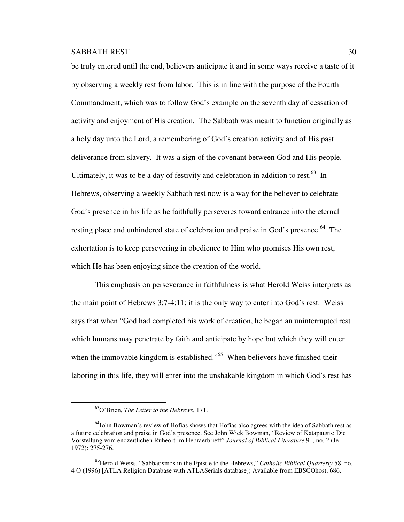be truly entered until the end, believers anticipate it and in some ways receive a taste of it by observing a weekly rest from labor. This is in line with the purpose of the Fourth Commandment, which was to follow God's example on the seventh day of cessation of activity and enjoyment of His creation. The Sabbath was meant to function originally as a holy day unto the Lord, a remembering of God's creation activity and of His past deliverance from slavery. It was a sign of the covenant between God and His people. Ultimately, it was to be a day of festivity and celebration in addition to rest.<sup>63</sup> In Hebrews, observing a weekly Sabbath rest now is a way for the believer to celebrate God's presence in his life as he faithfully perseveres toward entrance into the eternal resting place and unhindered state of celebration and praise in God's presence.<sup>64</sup> The exhortation is to keep persevering in obedience to Him who promises His own rest, which He has been enjoying since the creation of the world.

This emphasis on perseverance in faithfulness is what Herold Weiss interprets as the main point of Hebrews 3:7-4:11; it is the only way to enter into God's rest. Weiss says that when "God had completed his work of creation, he began an uninterrupted rest which humans may penetrate by faith and anticipate by hope but which they will enter when the immovable kingdom is established."<sup>65</sup> When believers have finished their laboring in this life, they will enter into the unshakable kingdom in which God's rest has

<sup>63</sup>O'Brien, *The Letter to the Hebrews*, 171.

<sup>&</sup>lt;sup>64</sup>John Bowman's review of Hofias shows that Hofias also agrees with the idea of Sabbath rest as a future celebration and praise in God's presence. See John Wick Bowman, "Review of Katapausis: Die Vorstellung vom endzeitlichen Ruheort im Hebraerbrieff" *Journal of Biblical Literature* 91, no. 2 (Je 1972): 275-276.

<sup>65</sup>Herold Weiss, "Sabbatismos in the Epistle to the Hebrews," *Catholic Biblical Quarterly* 58, no. 4 O (1996) [ATLA Religion Database with ATLASerials database]; Available from EBSCOhost, 686.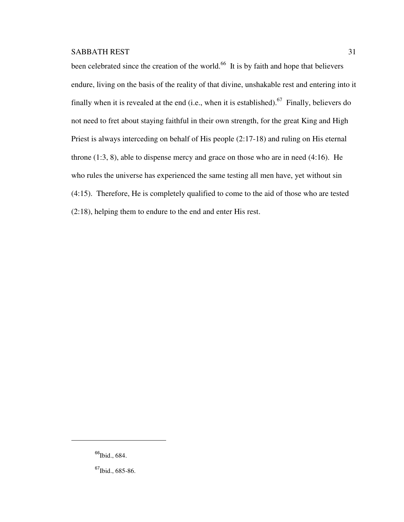been celebrated since the creation of the world.<sup>66</sup> It is by faith and hope that believers endure, living on the basis of the reality of that divine, unshakable rest and entering into it finally when it is revealed at the end (i.e., when it is established).<sup>67</sup> Finally, believers do not need to fret about staying faithful in their own strength, for the great King and High Priest is always interceding on behalf of His people (2:17-18) and ruling on His eternal throne (1:3, 8), able to dispense mercy and grace on those who are in need (4:16). He who rules the universe has experienced the same testing all men have, yet without sin (4:15). Therefore, He is completely qualified to come to the aid of those who are tested (2:18), helping them to endure to the end and enter His rest.

<sup>&</sup>lt;sup>66</sup>Ibid., 684.

 $^{67}$ Ibid., 685-86.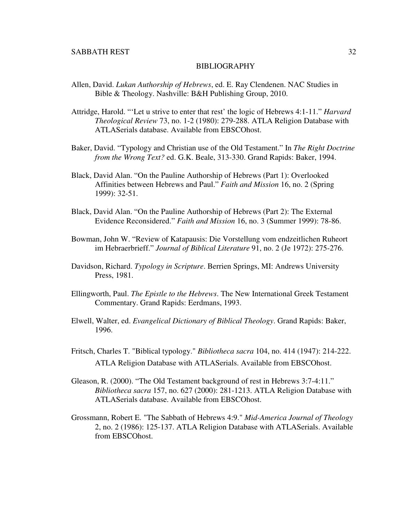#### BIBLIOGRAPHY

- Allen, David. *Lukan Authorship of Hebrews*, ed. E. Ray Clendenen. NAC Studies in Bible & Theology. Nashville: B&H Publishing Group, 2010.
- Attridge, Harold. "'Let u strive to enter that rest' the logic of Hebrews 4:1-11." *Harvard Theological Review* 73, no. 1-2 (1980): 279-288. ATLA Religion Database with ATLASerials database. Available from EBSCOhost.
- Baker, David. "Typology and Christian use of the Old Testament." In *The Right Doctrine from the Wrong Text?* ed. G.K. Beale, 313-330. Grand Rapids: Baker, 1994.
- Black, David Alan. "On the Pauline Authorship of Hebrews (Part 1): Overlooked Affinities between Hebrews and Paul." *Faith and Mission* 16, no. 2 (Spring 1999): 32-51.
- Black, David Alan. "On the Pauline Authorship of Hebrews (Part 2): The External Evidence Reconsidered." *Faith and Mission* 16, no. 3 (Summer 1999): 78-86.
- Bowman, John W. "Review of Katapausis: Die Vorstellung vom endzeitlichen Ruheort im Hebraerbrieff." *Journal of Biblical Literature* 91, no. 2 (Je 1972): 275-276.
- Davidson, Richard. *Typology in Scripture*. Berrien Springs, MI: Andrews University Press, 1981.
- Ellingworth, Paul. *The Epistle to the Hebrews*. The New International Greek Testament Commentary. Grand Rapids: Eerdmans, 1993.
- Elwell, Walter, ed. *Evangelical Dictionary of Biblical Theology*. Grand Rapids: Baker, 1996.
- Fritsch, Charles T. "Biblical typology." *Bibliotheca sacra* 104, no. 414 (1947): 214-222. ATLA Religion Database with ATLASerials. Available from EBSCOhost.
- Gleason, R. (2000). "The Old Testament background of rest in Hebrews 3:7-4:11." *Bibliotheca sacra* 157, no. 627 (2000): 281-1213. ATLA Religion Database with ATLASerials database. Available from EBSCOhost.
- Grossmann, Robert E. "The Sabbath of Hebrews 4:9." *Mid-America Journal of Theology* 2, no. 2 (1986): 125-137. ATLA Religion Database with ATLASerials. Available from EBSCOhost.